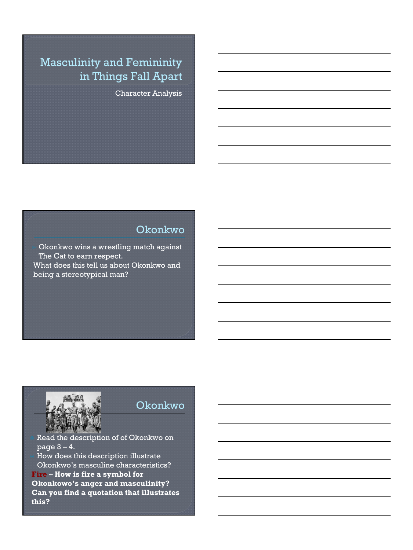## Masculinity and Femininity in Things Fall Apart

Character Analysis

## Okonkwo

<sup>⦿</sup> Okonkwo wins a wrestling match against The Cat to earn respect. What does this tell us about Okonkwo and being a stereotypical man?



**this?**

#### Okonkwo

<sup>⦿</sup> Read the description of of Okonkwo on  $\overline{\mathbf{page 3-4.}}$ <sup>⦿</sup> How does this description illustrate Okonkwo's masculine characteristics? **Fire – How is fire a symbol for Okonkowo's anger and masculinity? Can you find a quotation that illustrates**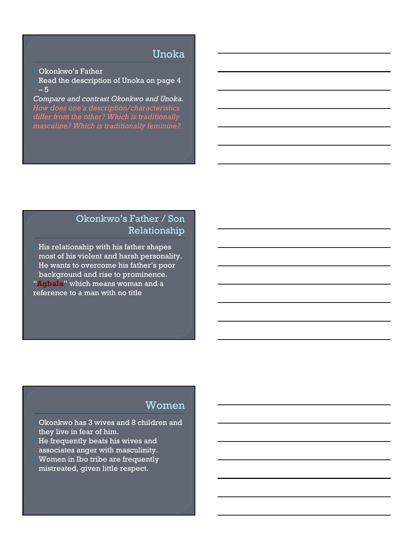#### Unoka

<sup>⦿</sup> Okonkwo's Father

Read the description of Unoka on page 4 – 5

*Compare and contrast Okonkwo and Unoka. masculine? Which is traditionally feminine?*

## Okonkwo's Father / Son Relationship

His relationship with his father shapes most of his violent and harsh personality. <sup>⦿</sup> He wants to overcome his father's poor background and rise to prominence. "**Agbala**" which means woman and a reference to a man with no title

### Women

<sup>⦿</sup> Okonkwo has 3 wives and 8 children and they live in fear of him. He frequently beats his wives and associates anger with masculinity. Women in Ibo tribe are frequently mistreated, given little respect.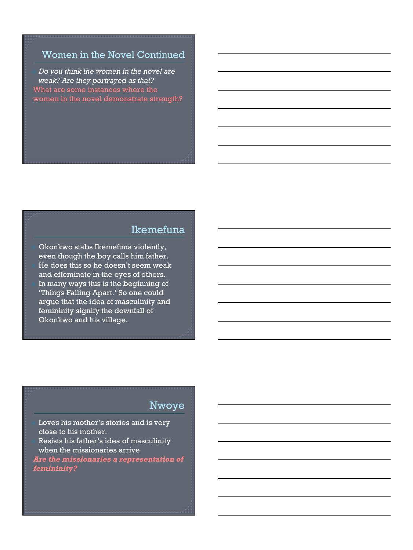#### Women in the Novel Continued

 *Do you think the women in the novel are weak? Are they portrayed as that?*  What are some instances where the women in the novel demonstrate strength?

#### Ikemefuna

<sup>⦿</sup> Okonkwo stabs Ikemefuna violently, even though the boy calls him father. He does this so he doesn't seem weak and effeminate in the eyes of others. In many ways this is the beginning of 'Things Falling Apart.' So one could argue that the idea of masculinity and femininity signify the downfall of Okonkwo and his village.

## Nwoye

Loves his mother's stories and is very close to his mother. <sup>⦿</sup> Resists his father's idea of masculinity when the missionaries arrive **Are the missionaries a representation of femininity?**